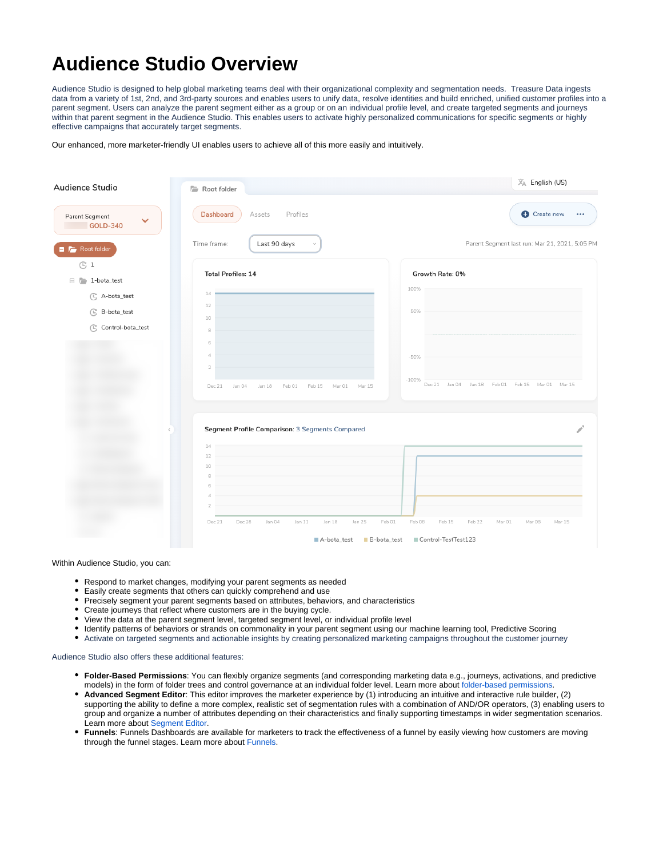## **Audience Studio Overview**

Audience Studio is designed to help global marketing teams deal with their organizational complexity and segmentation needs. Treasure Data ingests data from a variety of 1st, 2nd, and 3rd-party sources and enables users to unify data, resolve identities and build enriched, unified customer profiles into a parent segment. Users can analyze the parent segment either as a group or on an individual profile level, and create targeted segments and journeys within that parent segment in the Audience Studio. This enables users to activate highly personalized communications for specific segments or highly effective campaigns that accurately target segments.

Our enhanced, more marketer-friendly UI enables users to achieve all of this more easily and intuitively.

| Audience Studio                            | Root folder                                                        | $\overline{X}_A$ English (US)                                      |
|--------------------------------------------|--------------------------------------------------------------------|--------------------------------------------------------------------|
| Parent Segment<br>$\checkmark$<br>GOLD-340 | Dashboard<br>Profiles<br>Assets                                    | Create new<br>$\bullet\bullet\bullet$                              |
| Root folder                                | Last 90 days<br>Time frame:                                        | Parent Segment last run: Mar 21, 2021, 5:05 PM                     |
| $\mathbb{G}1$<br>$\Box$ $\Box$ 1-bota_test | <b>Total Profiles: 14</b>                                          | Growth Rate: 0%                                                    |
| C A-bota_test                              | 14                                                                 | 100%                                                               |
| C B-bota_test                              | 12<br>10                                                           | 50%                                                                |
| C Control-bota_test                        | 8<br>6                                                             |                                                                    |
|                                            | 4<br>$\mathbf{2}$                                                  | $-50%$                                                             |
|                                            | Feb 01<br>Feb 15<br>Mar 01<br>Dec 21<br>Jan 04<br>Jan 18<br>Mar 15 | $-100%$<br>Dec 21 Jan 04 Jan 18 Feb 01 Feb 15 Mar 01 Mar 15        |
|                                            | Segment Profile Comparison: 3 Segments Compared                    |                                                                    |
|                                            | 14<br>12                                                           |                                                                    |
|                                            | 10                                                                 |                                                                    |
|                                            |                                                                    |                                                                    |
|                                            | Dec 28<br>Jan 04<br>Jan 11<br>Jan 25<br>Dec 21<br>Jan 18           | Feb 01<br>Feb 08<br>Feb 15<br>Feb 22<br>Mar 01<br>Mar 08<br>Mar 15 |
|                                            | ■ A-bota_test                                                      | Control-TestTest123<br>$\blacksquare$ B-bota_test                  |

Within Audience Studio, you can:

- Respond to market changes, modifying your parent segments as needed
- Easily create segments that others can quickly comprehend and use
- Precisely segment your parent segments based on attributes, behaviors, and characteristics
- Create journeys that reflect where customers are in the buying cycle.
- View the data at the parent segment level, targeted segment level, or individual profile level
- Identify patterns of behaviors or strands on commonality in your parent segment using our machine learning tool, Predictive Scoring
- Activate on targeted segments and actionable insights by creating personalized marketing campaigns throughout the customer journey

## Audience Studio also offers these additional features:

- **Folder-Based Permissions**: You can flexibly organize segments (and corresponding marketing data e.g., journeys, activations, and predictive models) in the form of folder trees and control governance at an individual folder level. Learn more about [folder-based permissions](https://docs.treasuredata.com/display/PD/Folder-based+Permissions).
- **Advanced Segment Editor**: This editor improves the marketer experience by (1) introducing an intuitive and interactive rule builder, (2) supporting the ability to define a more complex, realistic set of segmentation rules with a combination of AND/OR operators, (3) enabling users to group and organize a number of attributes depending on their characteristics and finally supporting timestamps in wider segmentation scenarios. Learn more about [Segment Editor](https://docs.treasuredata.com/display/public/PD/Segment+Editor+Overview).
- **Funnels**: Funnels Dashboards are available for marketers to track the effectiveness of a funnel by easily viewing how customers are moving through the funnel stages. Learn more about [Funnels.](https://docs.treasuredata.com/display/PD/Funnels+Overview?src=contextnavpagetreemode)